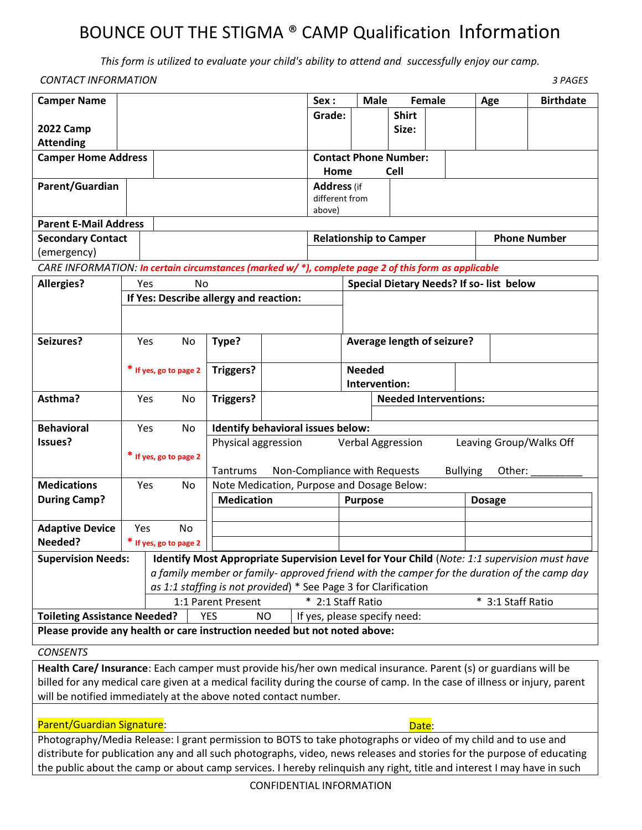# BOUNCE OUT THE STIGMA ® CAMP Qualification Information

*This form is utilized to evaluate your child's ability to attend and successfully enjoy our camp.* 

| <b>CONTACT INFORMATION</b><br>3 PAGES                                                                                    |                        |                                                             |                                            |                                                                     |                                         |                               |                                               |               |                   |     |                     |
|--------------------------------------------------------------------------------------------------------------------------|------------------------|-------------------------------------------------------------|--------------------------------------------|---------------------------------------------------------------------|-----------------------------------------|-------------------------------|-----------------------------------------------|---------------|-------------------|-----|---------------------|
| <b>Camper Name</b>                                                                                                       |                        |                                                             |                                            |                                                                     | Sex:                                    | <b>Male</b>                   |                                               | <b>Female</b> |                   | Age | <b>Birthdate</b>    |
|                                                                                                                          |                        |                                                             |                                            |                                                                     | Grade:                                  |                               | <b>Shirt</b>                                  |               |                   |     |                     |
| <b>2022 Camp</b>                                                                                                         |                        |                                                             |                                            |                                                                     |                                         |                               | Size:                                         |               |                   |     |                     |
| <b>Attending</b>                                                                                                         |                        |                                                             |                                            |                                                                     |                                         |                               |                                               |               |                   |     |                     |
| <b>Camper Home Address</b>                                                                                               |                        |                                                             |                                            |                                                                     |                                         | <b>Contact Phone Number:</b>  |                                               |               |                   |     |                     |
|                                                                                                                          |                        |                                                             |                                            |                                                                     | <b>Cell</b><br>Home                     |                               |                                               |               |                   |     |                     |
| Parent/Guardian                                                                                                          |                        |                                                             |                                            |                                                                     | <b>Address</b> (if<br>different from    |                               |                                               |               |                   |     |                     |
|                                                                                                                          |                        |                                                             |                                            |                                                                     | above)                                  |                               |                                               |               |                   |     |                     |
| <b>Parent E-Mail Address</b>                                                                                             |                        |                                                             |                                            |                                                                     |                                         |                               |                                               |               |                   |     |                     |
| <b>Secondary Contact</b>                                                                                                 |                        |                                                             |                                            |                                                                     |                                         | <b>Relationship to Camper</b> |                                               |               |                   |     | <b>Phone Number</b> |
| (emergency)                                                                                                              |                        |                                                             |                                            |                                                                     |                                         |                               |                                               |               |                   |     |                     |
| CARE INFORMATION: In certain circumstances (marked w/*), complete page 2 of this form as applicable                      |                        |                                                             |                                            |                                                                     |                                         |                               |                                               |               |                   |     |                     |
| <b>Allergies?</b>                                                                                                        | Yes<br>No              |                                                             |                                            |                                                                     | Special Dietary Needs? If so-list below |                               |                                               |               |                   |     |                     |
|                                                                                                                          |                        |                                                             |                                            | If Yes: Describe allergy and reaction:                              |                                         |                               |                                               |               |                   |     |                     |
|                                                                                                                          |                        |                                                             |                                            |                                                                     |                                         |                               |                                               |               |                   |     |                     |
|                                                                                                                          |                        |                                                             |                                            |                                                                     |                                         |                               |                                               |               |                   |     |                     |
| Seizures?                                                                                                                |                        | Type?<br>Yes<br>No                                          |                                            |                                                                     |                                         | Average length of seizure?    |                                               |               |                   |     |                     |
|                                                                                                                          |                        |                                                             |                                            |                                                                     |                                         |                               |                                               |               |                   |     |                     |
|                                                                                                                          | * If yes, go to page 2 |                                                             | Triggers?                                  |                                                                     |                                         | <b>Needed</b>                 |                                               |               |                   |     |                     |
|                                                                                                                          |                        |                                                             |                                            |                                                                     |                                         |                               | Intervention:<br><b>Needed Interventions:</b> |               |                   |     |                     |
| Asthma?                                                                                                                  |                        | Yes<br>No                                                   | Triggers?                                  |                                                                     |                                         |                               |                                               |               |                   |     |                     |
| <b>Behavioral</b>                                                                                                        | Yes<br>No              |                                                             | Identify behavioral issues below:          |                                                                     |                                         |                               |                                               |               |                   |     |                     |
| Issues?                                                                                                                  |                        |                                                             |                                            | Physical aggression<br>Leaving Group/Walks Off<br>Verbal Aggression |                                         |                               |                                               |               |                   |     |                     |
|                                                                                                                          | * If yes, go to page 2 |                                                             |                                            |                                                                     |                                         |                               |                                               |               |                   |     |                     |
|                                                                                                                          |                        | Non-Compliance with Requests<br><b>Bullying</b><br>Tantrums |                                            |                                                                     | Other:                                  |                               |                                               |               |                   |     |                     |
| <b>Medications</b>                                                                                                       | Yes<br>No              |                                                             | Note Medication, Purpose and Dosage Below: |                                                                     |                                         |                               |                                               |               |                   |     |                     |
| <b>During Camp?</b>                                                                                                      |                        |                                                             | <b>Medication</b>                          |                                                                     |                                         | <b>Purpose</b>                |                                               |               | <b>Dosage</b>     |     |                     |
|                                                                                                                          |                        |                                                             |                                            |                                                                     |                                         |                               |                                               |               |                   |     |                     |
| <b>Adaptive Device</b>                                                                                                   | Yes                    | <b>No</b>                                                   |                                            |                                                                     |                                         |                               |                                               |               |                   |     |                     |
| Needed?                                                                                                                  |                        | * If yes, go to page 2                                      |                                            |                                                                     |                                         |                               |                                               |               |                   |     |                     |
| Identify Most Appropriate Supervision Level for Your Child (Note: 1:1 supervision must have<br><b>Supervision Needs:</b> |                        |                                                             |                                            |                                                                     |                                         |                               |                                               |               |                   |     |                     |
| a family member or family- approved friend with the camper for the duration of the camp day                              |                        |                                                             |                                            |                                                                     |                                         |                               |                                               |               |                   |     |                     |
| as 1:1 staffing is not provided) * See Page 3 for Clarification                                                          |                        |                                                             |                                            |                                                                     |                                         |                               |                                               |               |                   |     |                     |
|                                                                                                                          |                        |                                                             | 1:1 Parent Present                         |                                                                     |                                         | * 2:1 Staff Ratio             |                                               |               | * 3:1 Staff Ratio |     |                     |
| <b>Toileting Assistance Needed?</b>                                                                                      |                        |                                                             | <b>YES</b>                                 | If yes, please specify need:<br><b>NO</b>                           |                                         |                               |                                               |               |                   |     |                     |
| Please provide any health or care instruction needed but not noted above:                                                |                        |                                                             |                                            |                                                                     |                                         |                               |                                               |               |                   |     |                     |

#### *CONSENTS*

**Health Care/ Insurance**: Each camper must provide his/her own medical insurance. Parent (s) or guardians will be billed for any medical care given at a medical facility during the course of camp. In the case of illness or injury, parent will be notified immediately at the above noted contact number.

### Parent/Guardian Signature: Date: Date: Date: Date: Date: Date: Date: Date: Date: Date: Date: Date: Date: Date: Date: Date: Date: Date: Date: Date: Date: Date: Date: Date: Date: Date: Date: Date: Date: Date: Date: Date: Dat

Photography/Media Release: I grant permission to BOTS to take photographs or video of my child and to use and distribute for publication any and all such photographs, video, news releases and stories for the purpose of educating the public about the camp or about camp services. I hereby relinquish any right, title and interest I may have in such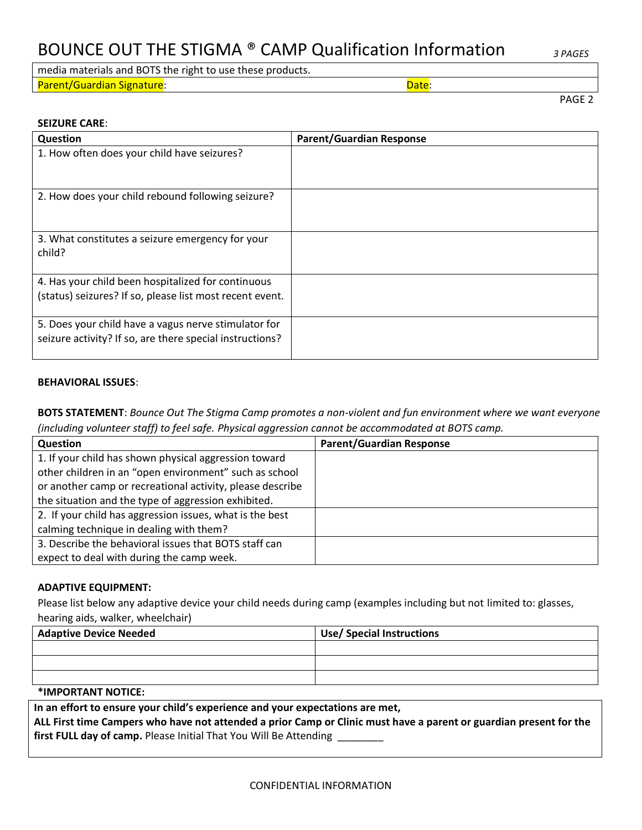## BOUNCE OUT THE STIGMA ® CAMP Qualification Information *3 PAGES*

media materials and BOTS the right to use these products. Parent/Guardian Signature: Date:

PAGE 2

### **SEIZURE CARE**:

| <b>Question</b>                                                                                                  | <b>Parent/Guardian Response</b> |
|------------------------------------------------------------------------------------------------------------------|---------------------------------|
| 1. How often does your child have seizures?                                                                      |                                 |
| 2. How does your child rebound following seizure?                                                                |                                 |
| 3. What constitutes a seizure emergency for your<br>child?                                                       |                                 |
| 4. Has your child been hospitalized for continuous                                                               |                                 |
| (status) seizures? If so, please list most recent event.                                                         |                                 |
| 5. Does your child have a vagus nerve stimulator for<br>seizure activity? If so, are there special instructions? |                                 |

#### **BEHAVIORAL ISSUES**:

**BOTS STATEMENT**: *Bounce Out The Stigma Camp promotes a non-violent and fun environment where we want everyone (including volunteer staff) to feel safe. Physical aggression cannot be accommodated at BOTS camp.* 

| Question                                                  | <b>Parent/Guardian Response</b> |
|-----------------------------------------------------------|---------------------------------|
| 1. If your child has shown physical aggression toward     |                                 |
| other children in an "open environment" such as school    |                                 |
| or another camp or recreational activity, please describe |                                 |
| the situation and the type of aggression exhibited.       |                                 |
| 2. If your child has aggression issues, what is the best  |                                 |
| calming technique in dealing with them?                   |                                 |
| 3. Describe the behavioral issues that BOTS staff can     |                                 |
| expect to deal with during the camp week.                 |                                 |

### **ADAPTIVE EQUIPMENT:**

Please list below any adaptive device your child needs during camp (examples including but not limited to: glasses, hearing aids, walker, wheelchair)

| <b>Adaptive Device Needed</b> | <b>Use/ Special Instructions</b> |  |  |  |
|-------------------------------|----------------------------------|--|--|--|
|                               |                                  |  |  |  |
|                               |                                  |  |  |  |
|                               |                                  |  |  |  |

#### **\*IMPORTANT NOTICE:**

**In an effort to ensure your child's experience and your expectations are met, ALL First time Campers who have not attended a prior Camp or Clinic must have a parent or guardian present for the first FULL day of camp.** Please Initial That You Will Be Attending \_\_\_\_\_\_